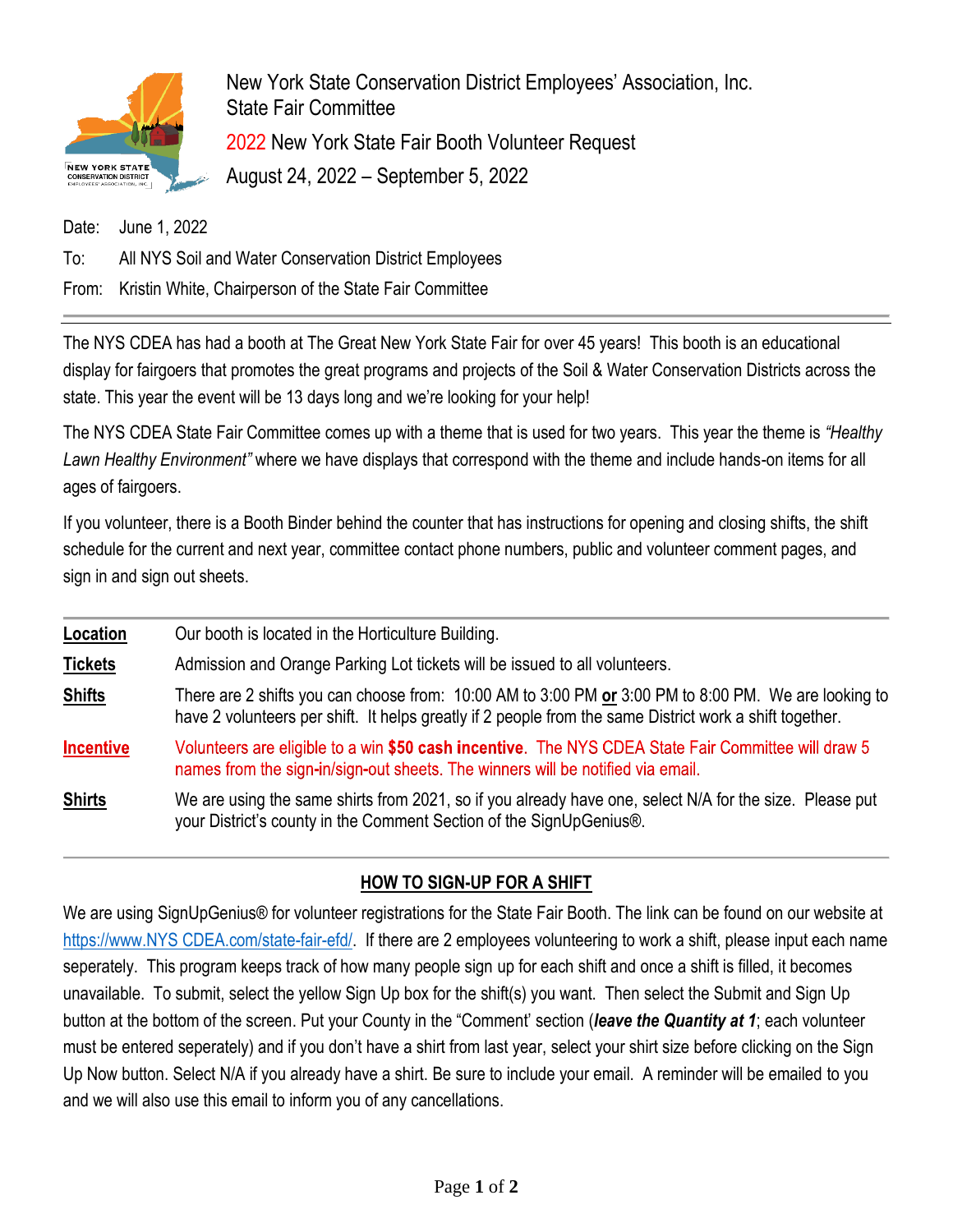

New York State Conservation District Employees' Association, Inc. State Fair Committee 2022 New York State Fair Booth Volunteer Request August 24, 2022 – September 5, 2022

Date: June 1, 2022

To: All NYS Soil and Water Conservation District Employees

From: Kristin White, Chairperson of the State Fair Committee

The NYS CDEA has had a booth at The Great New York State Fair for over 45 years! This booth is an educational display for fairgoers that promotes the great programs and projects of the Soil & Water Conservation Districts across the state. This year the event will be 13 days long and we're looking for your help!

The NYS CDEA State Fair Committee comes up with a theme that is used for two years. This year the theme is *"Healthy Lawn Healthy Environment"* where we have displays that correspond with the theme and include hands-on items for all ages of fairgoers.

If you volunteer, there is a Booth Binder behind the counter that has instructions for opening and closing shifts, the shift schedule for the current and next year, committee contact phone numbers, public and volunteer comment pages, and sign in and sign out sheets.

| Location         | Our booth is located in the Horticulture Building.                                                                                                                                                              |
|------------------|-----------------------------------------------------------------------------------------------------------------------------------------------------------------------------------------------------------------|
| <b>Tickets</b>   | Admission and Orange Parking Lot tickets will be issued to all volunteers.                                                                                                                                      |
| <b>Shifts</b>    | There are 2 shifts you can choose from: 10:00 AM to 3:00 PM or 3:00 PM to 8:00 PM. We are looking to<br>have 2 volunteers per shift. It helps greatly if 2 people from the same District work a shift together. |
| <b>Incentive</b> | Volunteers are eligible to a win \$50 cash incentive. The NYS CDEA State Fair Committee will draw 5<br>names from the sign-in/sign-out sheets. The winners will be notified via email.                          |
| <b>Shirts</b>    | We are using the same shirts from 2021, so if you already have one, select N/A for the size. Please put<br>your District's county in the Comment Section of the SignUpGenius®.                                  |

## **HOW TO SIGN-UP FOR A SHIFT**

We are using SignUpGenius® for volunteer registrations for the State Fair Booth. The link can be found on our website at [https://www.NYS CDEA.com/state-fair-efd/.](https://www.nyscdea.com/state-fair-efd/) If there are 2 employees volunteering to work a shift, please input each name seperately. This program keeps track of how many people sign up for each shift and once a shift is filled, it becomes unavailable. To submit, select the yellow Sign Up box for the shift(s) you want. Then select the Submit and Sign Up button at the bottom of the screen. Put your County in the "Comment' section (*leave the Quantity at 1*; each volunteer must be entered seperately) and if you don't have a shirt from last year, select your shirt size before clicking on the Sign Up Now button. Select N/A if you already have a shirt. Be sure to include your email. A reminder will be emailed to you and we will also use this email to inform you of any cancellations.